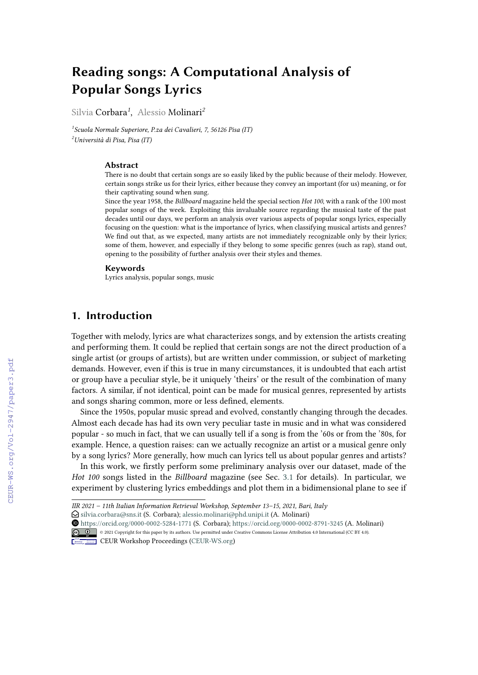# **Reading songs: A Computational Analysis of Popular Songs Lyrics**

Silvia Corbara*<sup>1</sup>* , Alessio Molinari*<sup>2</sup>*

*1 Scuola Normale Superiore, P.za dei Cavalieri, 7, 56126 Pisa (IT) <sup>2</sup>Università di Pisa, Pisa (IT)*

#### **Abstract**

There is no doubt that certain songs are so easily liked by the public because of their melody. However, certain songs strike us for their lyrics, either because they convey an important (for us) meaning, or for their captivating sound when sung.

Since the year 1958, the *Billboard* magazine held the special section *Hot 100*, with a rank of the 100 most popular songs of the week. Exploiting this invaluable source regarding the musical taste of the past decades until our days, we perform an analysis over various aspects of popular songs lyrics, especially focusing on the question: what is the importance of lyrics, when classifying musical artists and genres? We find out that, as we expected, many artists are not immediately recognizable only by their lyrics; some of them, however, and especially if they belong to some specifc genres (such as rap), stand out, opening to the possibility of further analysis over their styles and themes.

#### **Keywords**

Lyrics analysis, popular songs, music

# **1. Introduction**

Together with melody, lyrics are what characterizes songs, and by extension the artists creating and performing them. It could be replied that certain songs are not the direct production of a single artist (or groups of artists), but are written under commission, or subject of marketing demands. However, even if this is true in many circumstances, it is undoubted that each artist or group have a peculiar style, be it uniquely 'theirs' or the result of the combination of many factors. A similar, if not identical, point can be made for musical genres, represented by artists and songs sharing common, more or less defned, elements.

Since the 1950s, popular music spread and evolved, constantly changing through the decades. Almost each decade has had its own very peculiar taste in music and in what was considered popular - so much in fact, that we can usually tell if a song is from the '60s or from the '80s, for example. Hence, a question raises: can we actually recognize an artist or a musical genre only by a song lyrics? More generally, how much can lyrics tell us about popular genres and artists?

In this work, we frstly perform some preliminary analysis over our dataset, made of the *Hot 100* songs listed in the *Billboard* magazine (see Sec. [3.1](#page--1-0) for details). In particular, we experiment by clustering lyrics embeddings and plot them in a bidimensional plane to see if

 $\bigcirc$  [silvia.corbara@sns.it](mailto:silvia.corbara@sns.it) (S. Corbara); [alessio.molinari@phd.unipi.it](mailto:alessio.molinari@phd.unipi.it) (A. Molinari)

 [https://orcid.org/0000-0002-5284-1771](https://orcid.org/https://orcid.org/0000-0002-5284-1771) (S. Corbara); [https://orcid.org/0000-0002-8791-3245](https://orcid.org/https://orcid.org/0000-0002-8791-3245) (A. Molinari) © 2021 Copyright for this paper by its authors. Use permitted under Creative Commons License Attribution 4.0 International (CC BY 4.0).



CEUR Workshop [Proceedings](http://ceur-ws.org) [\(CEUR-WS.org\)](http://ceur-ws.org)

*IIR 2021 – 11th Italian Information Retrieval Workshop, September 13–15, 2021, Bari, Italy*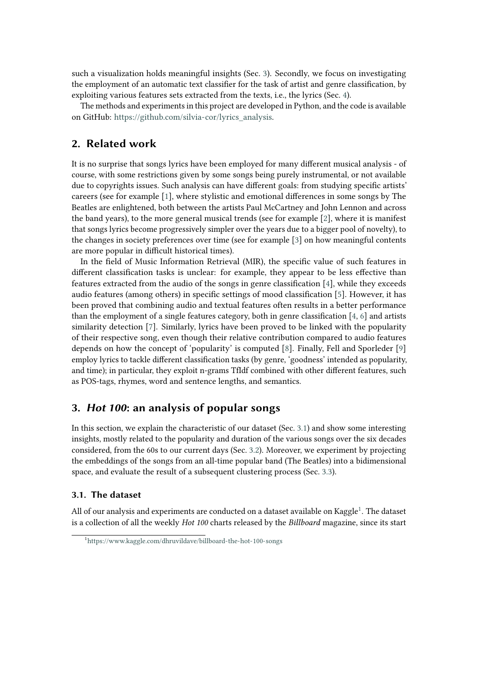such a visualization holds meaningful insights (Sec. [3\)](#page-1-0). Secondly, we focus on investigating the employment of an automatic text classifer for the task of artist and genre classifcation, by exploiting various features sets extracted from the texts, i.e., the lyrics (Sec. [4\)](#page-5-0).

The methods and experiments in this project are developed in Python, and the code is available on GitHub: [https://github.com/silvia-cor/lyrics\\_analysis.](https://github.com/silvia-cor/lyrics_analysis)

# **2. Related work**

It is no surprise that songs lyrics have been employed for many diferent musical analysis - of course, with some restrictions given by some songs being purely instrumental, or not available due to copyrights issues. Such analysis can have diferent goals: from studying specifc artists' careers (see for example [\[1\]](#page-10-0), where stylistic and emotional diferences in some songs by The Beatles are enlightened, both between the artists Paul McCartney and John Lennon and across the band years), to the more general musical trends (see for example [\[2\]](#page-10-1), where it is manifest that songs lyrics become progressively simpler over the years due to a bigger pool of novelty), to the changes in society preferences over time (see for example [\[3\]](#page-10-2) on how meaningful contents are more popular in difficult historical times).

In the feld of Music Information Retrieval (MIR), the specifc value of such features in diferent classifcation tasks is unclear: for example, they appear to be less efective than features extracted from the audio of the songs in genre classifcation [\[4\]](#page-10-3), while they exceeds audio features (among others) in specifc settings of mood classifcation [\[5\]](#page-10-4). However, it has been proved that combining audio and textual features often results in a better performance than the employment of a single features category, both in genre classifcation [\[4,](#page-10-3) [6\]](#page-10-5) and artists similarity detection [\[7\]](#page-10-6). Similarly, lyrics have been proved to be linked with the popularity of their respective song, even though their relative contribution compared to audio features depends on how the concept of 'popularity' is computed [\[8\]](#page-10-7). Finally, Fell and Sporleder [\[9\]](#page-10-8) employ lyrics to tackle diferent classifcation tasks (by genre, 'goodness' intended as popularity, and time); in particular, they exploit n-grams TfIdf combined with other diferent features, such as POS-tags, rhymes, word and sentence lengths, and semantics.

# <span id="page-1-0"></span>**3. Hot 100: an analysis of popular songs**

In this section, we explain the characteristic of our dataset (Sec. [3.1\)](#page-1-1) and show some interesting insights, mostly related to the popularity and duration of the various songs over the six decades considered, from the 60s to our current days (Sec. [3.2\)](#page-2-0). Moreover, we experiment by projecting the embeddings of the songs from an all-time popular band (The Beatles) into a bidimensional space, and evaluate the result of a subsequent clustering process (Sec. [3.3\)](#page-4-0).

### <span id="page-1-1"></span>**3.1. The dataset**

All of our analysis and experiments are conducted on a dataset available on Kaggle<sup>[1](#page-1-2)</sup>. The dataset is a collection of all the weekly *Hot 100* charts released by the *Billboard* magazine, since its start

<span id="page-1-2"></span><sup>&</sup>lt;sup>1</sup><https://www.kaggle.com/dhruvildave/billboard-the-hot-100-songs>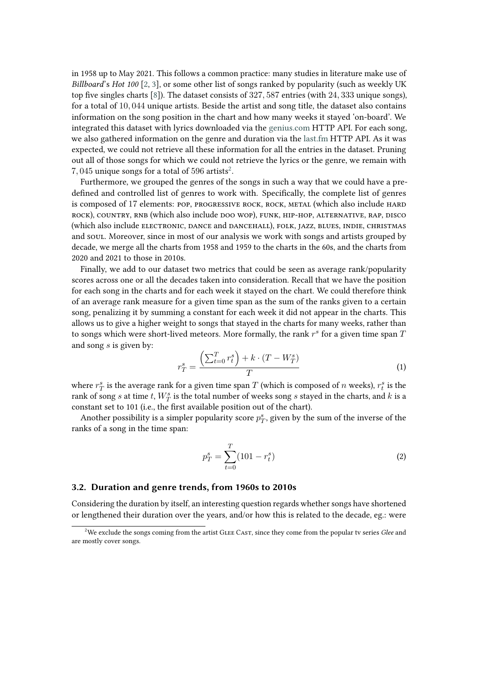in 1958 up to May 2021. This follows a common practice: many studies in literature make use of *Billboard*'s *Hot 100* [\[2,](#page-10-1) [3\]](#page-10-2), or some other list of songs ranked by popularity (such as weekly UK top fve singles charts [\[8\]](#page-10-7)). The dataset consists of 327, 587 entries (with 24, 333 unique songs), for a total of 10, 044 unique artists. Beside the artist and song title, the dataset also contains information on the song position in the chart and how many weeks it stayed 'on-board'. We integrated this dataset with lyrics downloaded via the [genius.com](https://genius.com/) HTTP API. For each song, we also gathered information on the genre and duration via the [last.fm](https://www.last.fm) HTTP API. As it was expected, we could not retrieve all these information for all the entries in the dataset. Pruning out all of those songs for which we could not retrieve the lyrics or the genre, we remain with  $7,045$  unique songs for a total of 596 artists<sup>[2](#page-2-1)</sup>.

Furthermore, we grouped the genres of the songs in such a way that we could have a predefned and controlled list of genres to work with. Specifcally, the complete list of genres is composed of 17 elements: POP, PROGRESSIVE ROCK, ROCK, METAL (which also include HARD rock), country, rnb (which also include doo wop), funk, hip-hop, alternative, rap, disco (which also include electronic, dance and dancehall), folk, jazz, blues, indie, christmas and soul. Moreover, since in most of our analysis we work with songs and artists grouped by decade, we merge all the charts from 1958 and 1959 to the charts in the 60s, and the charts from 2020 and 2021 to those in 2010s.

Finally, we add to our dataset two metrics that could be seen as average rank/popularity scores across one or all the decades taken into consideration. Recall that we have the position for each song in the charts and for each week it stayed on the chart. We could therefore think of an average rank measure for a given time span as the sum of the ranks given to a certain song, penalizing it by summing a constant for each week it did not appear in the charts. This allows us to give a higher weight to songs that stayed in the charts for many weeks, rather than to songs which were short-lived meteors. More formally, the rank  $r^s$  for a given time span  $\overline{T}$ and song  $s$  is given by:

$$
r_T^s = \frac{\left(\sum_{t=0}^T r_t^s\right) + k \cdot (T - W_T^s)}{T} \tag{1}
$$

where  $r_T^s$  is the average rank for a given time span  $T$  (which is composed of  $n$  weeks),  $r_t^s$  is the rank of song  $s$  at time  $t$ ,  $W^s_T$  is the total number of weeks song  $s$  stayed in the charts, and  $k$  is a constant set to 101 (i.e., the frst available position out of the chart).

Another possibility is a simpler popularity score  $p_T^s$ , given by the sum of the inverse of the ranks of a song in the time span:

$$
p_T^s = \sum_{t=0}^T (101 - r_t^s) \tag{2}
$$

#### <span id="page-2-0"></span>**3.2. Duration and genre trends, from 1960s to 2010s**

Considering the duration by itself, an interesting question regards whether songs have shortened or lengthened their duration over the years, and/or how this is related to the decade, eg.: were

<span id="page-2-1"></span><sup>&</sup>lt;sup>2</sup>We exclude the songs coming from the artist GLEE CAST, since they come from the popular tv series *Glee* and are mostly cover songs.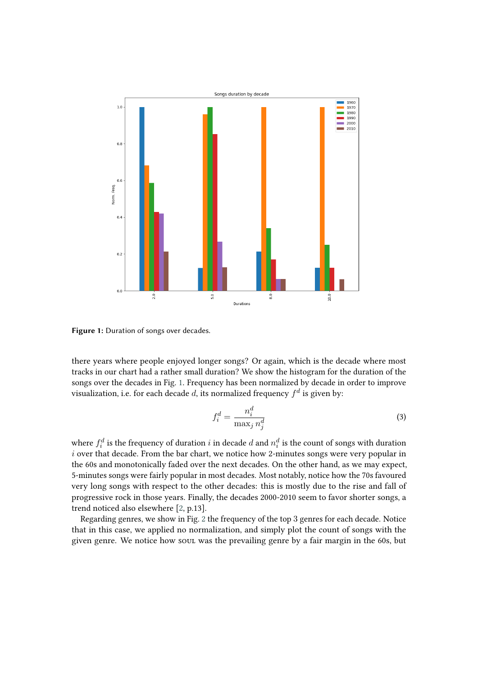

**Figure 1:** Duration of songs over decades.

there years where people enjoyed longer songs? Or again, which is the decade where most tracks in our chart had a rather small duration? We show the histogram for the duration of the songs over the decades in Fig. [1.](#page-3-0) Frequency has been normalized by decade in order to improve visualization, i.e. for each decade  $d$ , its normalized frequency  $f^d$  is given by:

<span id="page-3-0"></span>
$$
f_i^d = \frac{n_i^d}{\max_j n_j^d} \tag{3}
$$

where  $f_i^d$  is the frequency of duration  $i$  in decade  $d$  and  $n_i^d$  is the count of songs with duration  $i$  over that decade. From the bar chart, we notice how 2-minutes songs were very popular in the 60s and monotonically faded over the next decades. On the other hand, as we may expect, 5-minutes songs were fairly popular in most decades. Most notably, notice how the 70s favoured very long songs with respect to the other decades: this is mostly due to the rise and fall of progressive rock in those years. Finally, the decades 2000-2010 seem to favor shorter songs, a trend noticed also elsewhere [\[2,](#page-10-1) p.13].

Regarding genres, we show in Fig. [2](#page-4-1) the frequency of the top 3 genres for each decade. Notice that in this case, we applied no normalization, and simply plot the count of songs with the given genre. We notice how soul was the prevailing genre by a fair margin in the 60s, but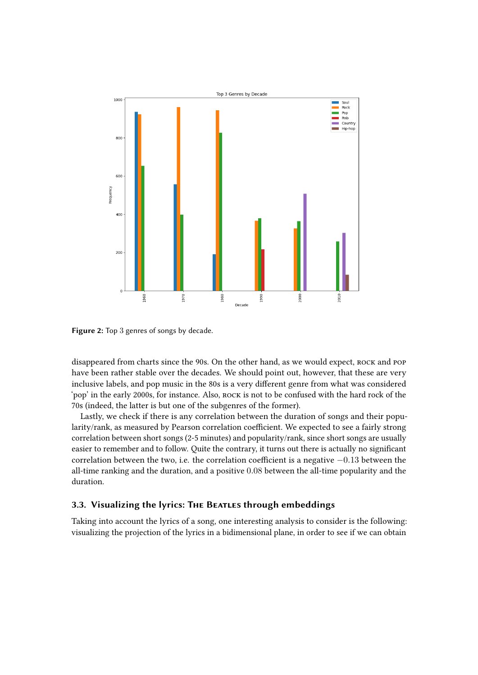

<span id="page-4-1"></span>**Figure 2:** Top 3 genres of songs by decade.

disappeared from charts since the 90s. On the other hand, as we would expect, ROCK and POP have been rather stable over the decades. We should point out, however, that these are very inclusive labels, and pop music in the 80s is a very diferent genre from what was considered 'pop' in the early 2000s, for instance. Also, rock is not to be confused with the hard rock of the 70s (indeed, the latter is but one of the subgenres of the former).

Lastly, we check if there is any correlation between the duration of songs and their popularity/rank, as measured by Pearson correlation coefficient. We expected to see a fairly strong correlation between short songs (2-5 minutes) and popularity/rank, since short songs are usually easier to remember and to follow. Quite the contrary, it turns out there is actually no signifcant correlation between the two, i.e. the correlation coefficient is a negative −0.13 between the all-time ranking and the duration, and a positive 0.08 between the all-time popularity and the duration.

### <span id="page-4-0"></span>**3.3. Visualizing the lyrics: The Beatles through embeddings**

Taking into account the lyrics of a song, one interesting analysis to consider is the following: visualizing the projection of the lyrics in a bidimensional plane, in order to see if we can obtain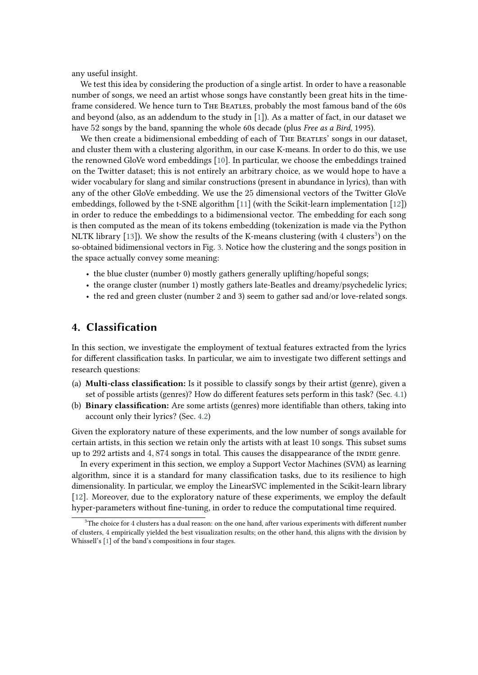any useful insight.

We test this idea by considering the production of a single artist. In order to have a reasonable number of songs, we need an artist whose songs have constantly been great hits in the timeframe considered. We hence turn to THE BEATLES, probably the most famous band of the 60s and beyond (also, as an addendum to the study in  $[1]$ ). As a matter of fact, in our dataset we have 52 songs by the band, spanning the whole 60s decade (plus *Free as a Bird*, 1995).

We then create a bidimensional embedding of each of THE BEATLES' songs in our dataset, and cluster them with a clustering algorithm, in our case K-means. In order to do this, we use the renowned GloVe word embeddings [\[10\]](#page-10-9). In particular, we choose the embeddings trained on the Twitter dataset; this is not entirely an arbitrary choice, as we would hope to have a wider vocabulary for slang and similar constructions (present in abundance in lyrics), than with any of the other GloVe embedding. We use the 25 dimensional vectors of the Twitter GloVe embeddings, followed by the t-SNE algorithm [\[11\]](#page-10-10) (with the Scikit-learn implementation [\[12\]](#page-10-11)) in order to reduce the embeddings to a bidimensional vector. The embedding for each song is then computed as the mean of its tokens embedding (tokenization is made via the Python NLTK library [\[13\]](#page-10-12)). We show the results of the K-means clustering (with 4 clusters<sup>[3](#page-5-1)</sup>) on the so-obtained bidimensional vectors in Fig. [3.](#page-6-0) Notice how the clustering and the songs position in the space actually convey some meaning:

- the blue cluster (number 0) mostly gathers generally uplifting/hopeful songs;
- the orange cluster (number 1) mostly gathers late-Beatles and dreamy/psychedelic lyrics;
- the red and green cluster (number 2 and 3) seem to gather sad and/or love-related songs.

## <span id="page-5-0"></span>**4. Classification**

In this section, we investigate the employment of textual features extracted from the lyrics for diferent classifcation tasks. In particular, we aim to investigate two diferent settings and research questions:

- (a) **Multi-class classifcation:** Is it possible to classify songs by their artist (genre), given a set of possible artists (genres)? How do diferent features sets perform in this task? (Sec. [4.1\)](#page-6-1)
- (b) **Binary classifcation:** Are some artists (genres) more identifable than others, taking into account only their lyrics? (Sec. [4.2\)](#page-7-0)

Given the exploratory nature of these experiments, and the low number of songs available for certain artists, in this section we retain only the artists with at least 10 songs. This subset sums up to  $292$  artists and  $4,874$  songs in total. This causes the disappearance of the INDIE genre.

In every experiment in this section, we employ a Support Vector Machines (SVM) as learning algorithm, since it is a standard for many classifcation tasks, due to its resilience to high dimensionality. In particular, we employ the LinearSVC implemented in the Scikit-learn library [\[12\]](#page-10-11). Moreover, due to the exploratory nature of these experiments, we employ the default hyper-parameters without fne-tuning, in order to reduce the computational time required.

<span id="page-5-1"></span> $3$ The choice for 4 clusters has a dual reason: on the one hand, after various experiments with different number of clusters, 4 empirically yielded the best visualization results; on the other hand, this aligns with the division by Whissell's [\[1\]](#page-10-0) of the band's compositions in four stages.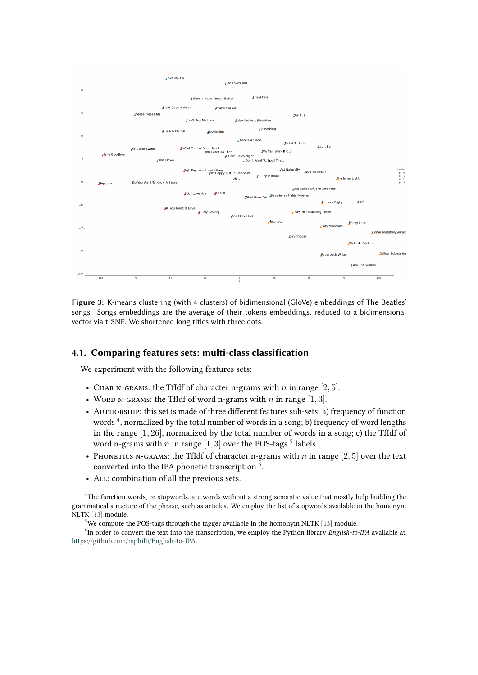

<span id="page-6-0"></span>**Figure 3:** K-means clustering (with 4 clusters) of bidimensional (GloVe) embeddings of The Beatles' songs. Songs embeddings are the average of their tokens embeddings, reduced to a bidimensional vector via t-SNE. We shortened long titles with three dots.

### <span id="page-6-1"></span>**4.1. Comparing features sets: multi-class classification**

We experiment with the following features sets:

- CHAR N-GRAMS: the TfIdf of character n-grams with  $n$  in range  $[2, 5]$ .
- WORD N-GRAMS: the TfIdf of word n-grams with  $n$  in range  $[1, 3]$ .
- AUTHORSHIP: this set is made of three different features sub-sets: a) frequency of function words <sup>[4](#page-6-2)</sup>, normalized by the total number of words in a song; b) frequency of word lengths in the range  $[1, 26]$ , normalized by the total number of words in a song; c) the TfIdf of word n-grams with  $n$  in range [1, 3] over the POS-tags  $^5$  $^5$  labels.
- PHONETICS N-GRAMS: the TfIdf of character n-grams with  $n$  in range [2, 5] over the text converted into the IPA phonetic transcription  $\frac{6}{6}$  $\frac{6}{6}$  $\frac{6}{6}$ .
- All: combination of all the previous sets.

<span id="page-6-2"></span><sup>&</sup>lt;sup>4</sup>The function words, or stopwords, are words without a strong semantic value that mostly help building the grammatical structure of the phrase, such as articles. We employ the list of stopwords available in the homonym NLTK [\[13\]](#page-10-12) module.

<span id="page-6-4"></span><span id="page-6-3"></span> $5$ We compute the POS-tags through the tagger available in the homonym NLTK [\[13\]](#page-10-12) module.

<sup>&</sup>lt;sup>6</sup>In order to convert the text into the transcription, we employ the Python library *English-to-IPA* available at: [https://github.com/mphilli/English-to-IPA.](https://github.com/mphilli/English-to-IPA)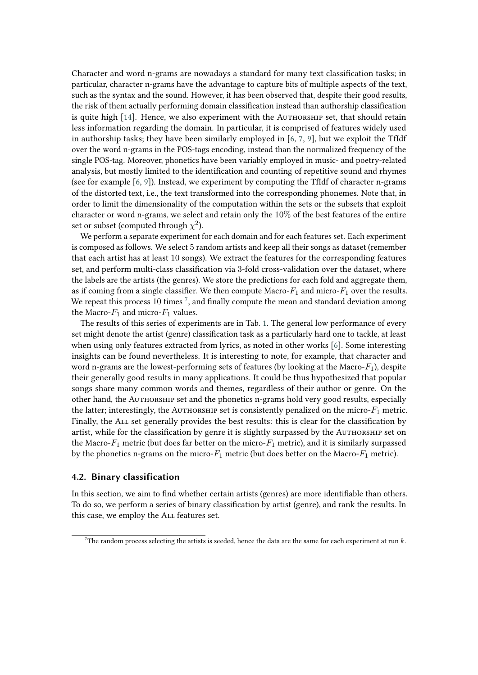Character and word n-grams are nowadays a standard for many text classifcation tasks; in particular, character n-grams have the advantage to capture bits of multiple aspects of the text, such as the syntax and the sound. However, it has been observed that, despite their good results, the risk of them actually performing domain classifcation instead than authorship classifcation is quite high  $[14]$ . Hence, we also experiment with the AUTHORSHIP set, that should retain less information regarding the domain. In particular, it is comprised of features widely used in authorship tasks; they have been similarly employed in [\[6,](#page-10-5) [7,](#page-10-6) [9\]](#page-10-8), but we exploit the TfIdf over the word n-grams in the POS-tags encoding, instead than the normalized frequency of the single POS-tag. Moreover, phonetics have been variably employed in music- and poetry-related analysis, but mostly limited to the identifcation and counting of repetitive sound and rhymes (see for example  $[6, 9]$  $[6, 9]$  $[6, 9]$ ). Instead, we experiment by computing the TfIdf of character n-grams of the distorted text, i.e., the text transformed into the corresponding phonemes. Note that, in order to limit the dimensionality of the computation within the sets or the subsets that exploit character or word n-grams, we select and retain only the  $10\%$  of the best features of the entire set or subset (computed through  $\chi^2$ ).

We perform a separate experiment for each domain and for each features set. Each experiment is composed as follows. We select 5 random artists and keep all their songs as dataset (remember that each artist has at least 10 songs). We extract the features for the corresponding features set, and perform multi-class classifcation via 3-fold cross-validation over the dataset, where the labels are the artists (the genres). We store the predictions for each fold and aggregate them, as if coming from a single classifier. We then compute Macro- $F_1$  and micro- $F_1$  over the results. We repeat this process  $10$  times<sup>[7](#page-7-1)</sup>, and finally compute the mean and standard deviation among the Macro- $F_1$  and micro- $F_1$  values.

The results of this series of experiments are in Tab. [1.](#page-8-0) The general low performance of every set might denote the artist (genre) classifcation task as a particularly hard one to tackle, at least when using only features extracted from lyrics, as noted in other works [\[6\]](#page-10-5). Some interesting insights can be found nevertheless. It is interesting to note, for example, that character and word n-grams are the lowest-performing sets of features (by looking at the Macro- $F_1$ ), despite their generally good results in many applications. It could be thus hypothesized that popular songs share many common words and themes, regardless of their author or genre. On the other hand, the AUTHORSHIP set and the phonetics n-grams hold very good results, especially the latter; interestingly, the AUTHORSHIP set is consistently penalized on the micro- $F_1$  metric. Finally, the All set generally provides the best results: this is clear for the classifcation by artist, while for the classifcation by genre it is slightly surpassed by the Authorship set on the Macro- $F_1$  metric (but does far better on the micro- $F_1$  metric), and it is similarly surpassed by the phonetics n-grams on the micro- $F_1$  metric (but does better on the Macro- $F_1$  metric).

### <span id="page-7-0"></span>**4.2. Binary classification**

In this section, we aim to fnd whether certain artists (genres) are more identifable than others. To do so, we perform a series of binary classifcation by artist (genre), and rank the results. In this case, we employ the All features set.

<span id="page-7-1"></span><sup>&</sup>lt;sup>7</sup>The random process selecting the artists is seeded, hence the data are the same for each experiment at run  $k$ .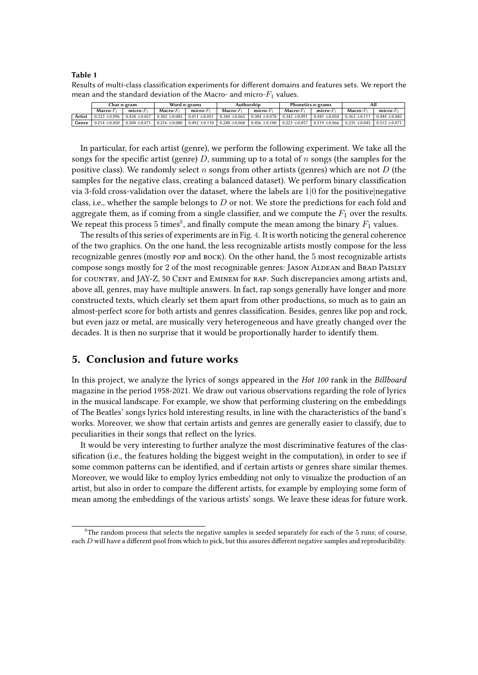#### <span id="page-8-0"></span>**Table 1**

Results of multi-class classification experiments for diferent domains and features sets. We report the mean and the standard deviation of the Macro- and micro- $F_1$  values.

|        | Char n-gram       |                   | Word n-grams      |                   | Authorship        |                                                                                                   | Phonetics n-grams |                   | Αll                                 |                 |
|--------|-------------------|-------------------|-------------------|-------------------|-------------------|---------------------------------------------------------------------------------------------------|-------------------|-------------------|-------------------------------------|-----------------|
|        | $Macro-F_1$       | $micro-F1$        | $Macro-F1$        | $micro-F_1$       | $Marrow-F_1$      | $micro-F_1$                                                                                       | $Macro-F_1$       | $micro-F1$        | $Macro-F_1$                         | micro- $F_1$    |
| Artist | $0.323 \pm 0.096$ | $0.434 + 0.057$   |                   |                   |                   | $0.302 \pm 0.085$   0.411 $\pm 0.051$   0.344 $\pm 0.065$   0.384 $\pm 0.078$   0.342 $\pm 0.091$ |                   | $0.441 + 0.054$   | $0.363 \pm 0.111$                   | $0.444 + 0.085$ |
| Genre  | $0.214 \pm 0.050$ | $0.508 \pm 0.071$ | $0.216 \pm 0.080$ | $0.492 \pm 0.110$ | $0.248 \pm 0.068$ | $0.456 \pm 0.100$                                                                                 | $0.223 \pm 0.057$ | $0.519 \pm 0.066$ | $0.235 \pm 0.045$ 0.512 $\pm 0.071$ |                 |

In particular, for each artist (genre), we perform the following experiment. We take all the songs for the specific artist (genre)  $D$ , summing up to a total of  $n$  songs (the samples for the positive class). We randomly select  $n$  songs from other artists (genres) which are not  $D$  (the samples for the negative class, creating a balanced dataset). We perform binary classifcation via 3-fold cross-validation over the dataset, where the labels are  $1/0$  for the positive negative class, i.e., whether the sample belongs to  $D$  or not. We store the predictions for each fold and aggregate them, as if coming from a single classifier, and we compute the  $F_1$  over the results. We repeat this process 5 times<sup>[8](#page-8-1)</sup>, and finally compute the mean among the binary  $F_1$  values.

The results of this series of experiments are in Fig. [4.](#page-9-0) It is worth noticing the general coherence of the two graphics. On the one hand, the less recognizable artists mostly compose for the less recognizable genres (mostly pop and rock). On the other hand, the 5 most recognizable artists compose songs mostly for 2 of the most recognizable genres: Jason Aldean and Brad Paisley for COUNTRY, and JAY-Z, 50 CENT and EMINEM for RAP. Such discrepancies among artists and, above all, genres, may have multiple answers. In fact, rap songs generally have longer and more constructed texts, which clearly set them apart from other productions, so much as to gain an almost-perfect score for both artists and genres classifcation. Besides, genres like pop and rock, but even jazz or metal, are musically very heterogeneous and have greatly changed over the decades. It is then no surprise that it would be proportionally harder to identify them.

### **5. Conclusion and future works**

In this project, we analyze the lyrics of songs appeared in the *Hot 100* rank in the *Billboard* magazine in the period 1958-2021. We draw out various observations regarding the role of lyrics in the musical landscape. For example, we show that performing clustering on the embeddings of The Beatles' songs lyrics hold interesting results, in line with the characteristics of the band's works. Moreover, we show that certain artists and genres are generally easier to classify, due to peculiarities in their songs that refect on the lyrics.

It would be very interesting to further analyze the most discriminative features of the classifcation (i.e., the features holding the biggest weight in the computation), in order to see if some common patterns can be identifed, and if certain artists or genres share similar themes. Moreover, we would like to employ lyrics embedding not only to visualize the production of an artist, but also in order to compare the diferent artists, for example by employing some form of mean among the embeddings of the various artists' songs. We leave these ideas for future work.

<span id="page-8-1"></span> ${}^{8}$ The random process that selects the negative samples is seeded separately for each of the 5 runs; of course, each  $D$  will have a different pool from which to pick, but this assures different negative samples and reproducibility.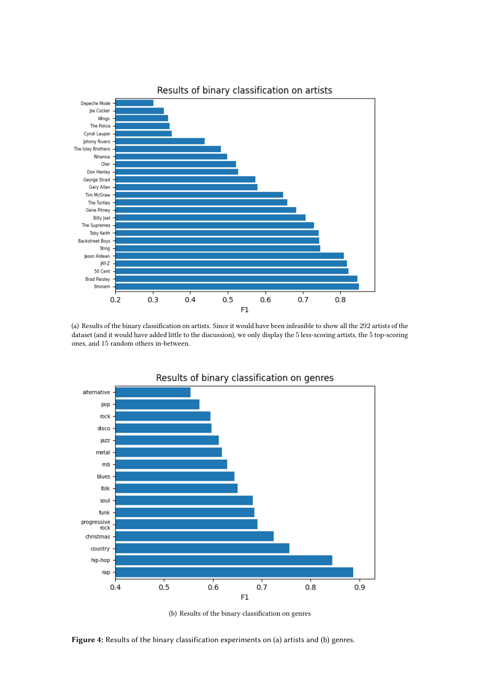

(a) Results of the binary classifcation on artists. Since it would have been infeasible to show all the 292 artists of the dataset (and it would have added little to the discussion), we only display the 5 less-scoring artists, the 5 top-scoring ones, and 15 random others in-between.



(b) Results of the binary classifcation on genres

<span id="page-9-0"></span>Figure 4: Results of the binary classification experiments on (a) artists and (b) genres.